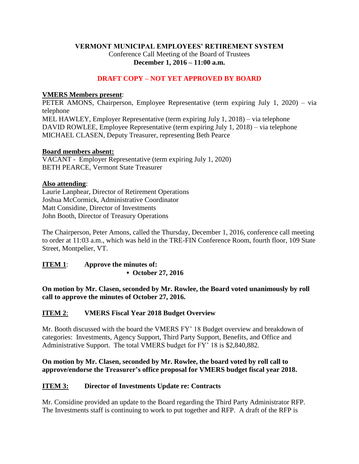## **VERMONT MUNICIPAL EMPLOYEES' RETIREMENT SYSTEM** Conference Call Meeting of the Board of Trustees **December 1, 2016 – 11:00 a.m.**

## **DRAFT COPY – NOT YET APPROVED BY BOARD**

### **VMERS Members present**:

PETER AMONS, Chairperson, Employee Representative (term expiring July 1, 2020) – via telephone MEL HAWLEY, Employer Representative (term expiring July 1, 2018) – via telephone DAVID ROWLEE, Employee Representative (term expiring July 1, 2018) – via telephone MICHAEL CLASEN, Deputy Treasurer, representing Beth Pearce

### **Board members absent:**

VACANT - Employer Representative (term expiring July 1, 2020) BETH PEARCE, Vermont State Treasurer

### **Also attending**:

Laurie Lanphear, Director of Retirement Operations Joshua McCormick, Administrative Coordinator Matt Considine, Director of Investments John Booth, Director of Treasury Operations

The Chairperson, Peter Amons, called the Thursday, December 1, 2016, conference call meeting to order at 11:03 a.m., which was held in the TRE-FIN Conference Room, fourth floor, 109 State Street, Montpelier, VT.

# **ITEM 1**: **Approve the minutes of: ▪ October 27, 2016**

**On motion by Mr. Clasen, seconded by Mr. Rowlee, the Board voted unanimously by roll call to approve the minutes of October 27, 2016.**

### **ITEM 2**: **VMERS Fiscal Year 2018 Budget Overview**

Mr. Booth discussed with the board the VMERS FY' 18 Budget overview and breakdown of categories: Investments, Agency Support, Third Party Support, Benefits, and Office and Administrative Support. The total VMERS budget for FY' 18 is \$2,840,882.

### **On motion by Mr. Clasen, seconded by Mr. Rowlee, the board voted by roll call to approve/endorse the Treasurer's office proposal for VMERS budget fiscal year 2018.**

## **ITEM 3: Director of Investments Update re: Contracts**

Mr. Considine provided an update to the Board regarding the Third Party Administrator RFP. The Investments staff is continuing to work to put together and RFP. A draft of the RFP is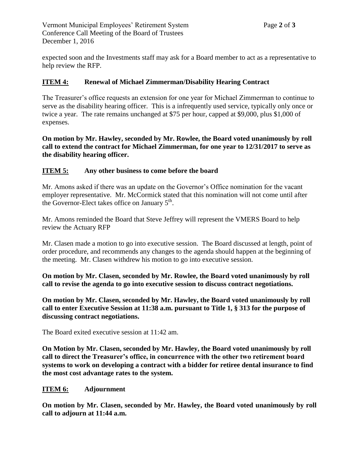expected soon and the Investments staff may ask for a Board member to act as a representative to help review the RFP.

# **ITEM 4: Renewal of Michael Zimmerman/Disability Hearing Contract**

The Treasurer's office requests an extension for one year for Michael Zimmerman to continue to serve as the disability hearing officer. This is a infrequently used service, typically only once or twice a year. The rate remains unchanged at \$75 per hour, capped at \$9,000, plus \$1,000 of expenses.

**On motion by Mr. Hawley, seconded by Mr. Rowlee, the Board voted unanimously by roll call to extend the contract for Michael Zimmerman, for one year to 12/31/2017 to serve as the disability hearing officer.**

## **ITEM 5: Any other business to come before the board**

Mr. Amons asked if there was an update on the Governor's Office nomination for the vacant employer representative. Mr. McCormick stated that this nomination will not come until after the Governor-Elect takes office on January  $5<sup>th</sup>$ .

Mr. Amons reminded the Board that Steve Jeffrey will represent the VMERS Board to help review the Actuary RFP

Mr. Clasen made a motion to go into executive session. The Board discussed at length, point of order procedure, and recommends any changes to the agenda should happen at the beginning of the meeting. Mr. Clasen withdrew his motion to go into executive session.

**On motion by Mr. Clasen, seconded by Mr. Rowlee, the Board voted unanimously by roll call to revise the agenda to go into executive session to discuss contract negotiations.**

**On motion by Mr. Clasen, seconded by Mr. Hawley, the Board voted unanimously by roll call to enter Executive Session at 11:38 a.m. pursuant to Title 1, § 313 for the purpose of discussing contract negotiations.**

The Board exited executive session at 11:42 am.

**On Motion by Mr. Clasen, seconded by Mr. Hawley, the Board voted unanimously by roll call to direct the Treasurer's office, in concurrence with the other two retirement board systems to work on developing a contract with a bidder for retiree dental insurance to find the most cost advantage rates to the system.**

### **ITEM 6: Adjournment**

**On motion by Mr. Clasen, seconded by Mr. Hawley, the Board voted unanimously by roll call to adjourn at 11:44 a.m.**